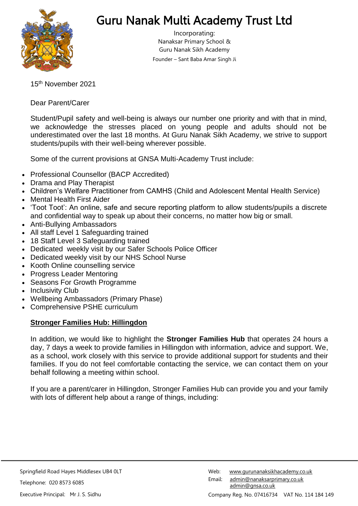

# Guru Nanak Multi Academy Trust Ltd

Incorporating: Nanaksar Primary School & Guru Nanak Sikh Academy Founder – Sant Baba Amar Singh Ji

15 th November 2021

Dear Parent/Carer

Student/Pupil safety and well-being is always our number one priority and with that in mind, we acknowledge the stresses placed on young people and adults should not be underestimated over the last 18 months. At Guru Nanak Sikh Academy, we strive to support students/pupils with their well-being wherever possible.

Some of the current provisions at GNSA Multi-Academy Trust include:

- Professional Counsellor (BACP Accredited)
- Drama and Play Therapist
- Children's Welfare Practitioner from CAMHS (Child and Adolescent Mental Health Service)
- Mental Health First Aider
- 'Toot Toot': An online, safe and secure reporting platform to allow students/pupils a discrete and confidential way to speak up about their concerns, no matter how big or small.
- Anti-Bullying Ambassadors
- All staff Level 1 Safeguarding trained
- 18 Staff Level 3 Safeguarding trained
- Dedicated weekly visit by our Safer Schools Police Officer
- Dedicated weekly visit by our NHS School Nurse
- Kooth Online counselling service
- Progress Leader Mentoring
- Seasons For Growth Programme
- Inclusivity Club
- Wellbeing Ambassadors (Primary Phase)
- Comprehensive PSHE curriculum

#### **Stronger Families Hub: Hillingdon**

In addition, we would like to highlight the **Stronger Families Hub** that operates 24 hours a day, 7 days a week to provide families in Hillingdon with information, advice and support. We, as a school, work closely with this service to provide additional support for students and their families. If you do not feel comfortable contacting the service, we can contact them on your behalf following a meeting within school.

If you are a parent/carer in Hillingdon, Stronger Families Hub can provide you and your family with lots of different help about a range of things, including: